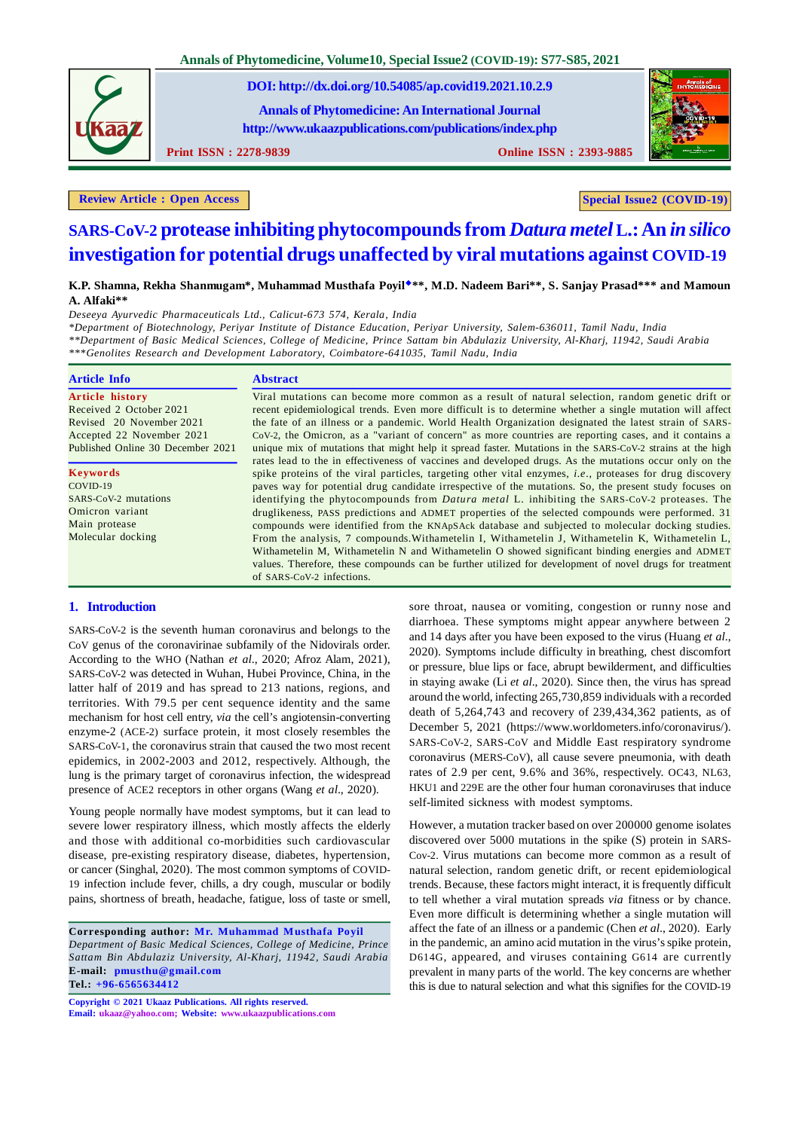**Annals of Phytomedicine, Volume10, Special Issue2 (COVID-19): S77-S85, 2021**

**DOI: http://dx.doi.org/10.54085/ap.covid19.2021.10.2.9**

**Annals of Phytomedicine: An International Journal http://www.ukaazpublications.com/publications/index.php**

**Print ISSN : 2278-9839 Online ISSN : 2393-9885**



**Review** Article : Open Access | **Special Issue2 (COVID-19)** 

# **SARS-CoV-2 protease inhibiting phytocompounds from** *Datura metel* **L.: An** *in silico* **investigation for potential drugs unaffected by viral mutations against COVID-19**

# **K.P. Shamna, Rekha Shanmugam\*, Muhammad Musthafa Poyil\*\*, M.D. Nadeem Bari\*\*, S. Sanjay Prasad\*\*\* and Mamoun A. Alfaki\*\***

*Deseeya Ayurvedic Pharmaceuticals Ltd., Calicut-673 574, Kerala, India*

*\*Department of Biotechnology, Periyar Institute of Distance Education, Periyar University, Salem-636011, Tamil Nadu, India \*\*Department of Basic Medical Sciences, College of Medicine, Prince Sattam bin Abdulaziz University, Al-Kharj, 11942, Saudi Arabia \*\*\*Genolites Research and Development Laboratory, Coimbatore-641035, Tamil Nadu, India*

| <b>Article Info</b>               | <b>Abstract</b>                                                                                                                                                                                                     |
|-----------------------------------|---------------------------------------------------------------------------------------------------------------------------------------------------------------------------------------------------------------------|
| <b>Article history</b>            | Viral mutations can become more common as a result of natural selection, random genetic drift or                                                                                                                    |
| Received 2 October 2021           | recent epidemiological trends. Even more difficult is to determine whether a single mutation will affect                                                                                                            |
| Revised 20 November 2021          | the fate of an illness or a pandemic. World Health Organization designated the latest strain of SARS-                                                                                                               |
| Accepted 22 November 2021         | CoV-2, the Omicron, as a "variant of concern" as more countries are reporting cases, and it contains a                                                                                                              |
| Published Online 30 December 2021 | unique mix of mutations that might help it spread faster. Mutations in the SARS-CoV-2 strains at the high<br>rates lead to the in effectiveness of vaccines and developed drugs. As the mutations occur only on the |
| <b>Keywords</b>                   | spike proteins of the viral particles, targeting other vital enzymes, <i>i.e.</i> , proteases for drug discovery                                                                                                    |
| COVID-19                          | paves way for potential drug candidate irrespective of the mutations. So, the present study focuses on                                                                                                              |
| SARS-CoV-2 mutations              | identifying the phytocompounds from <i>Datura metal</i> L. inhibiting the SARS-CoV-2 proteases. The                                                                                                                 |
| Omicron variant                   | druglikeness, PASS predictions and ADMET properties of the selected compounds were performed. 31                                                                                                                    |
| Main protease                     | compounds were identified from the KNApSAck database and subjected to molecular docking studies.                                                                                                                    |
| Molecular docking                 | From the analysis, 7 compounds. Withametelin I, Withametelin J, Withametelin K, Withametelin L,                                                                                                                     |
|                                   | Withametelin M, Withametelin N and Withametelin O showed significant binding energies and ADMET                                                                                                                     |
|                                   | values. Therefore, these compounds can be further utilized for development of novel drugs for treatment                                                                                                             |
|                                   | of SARS-CoV-2 infections.                                                                                                                                                                                           |

# **1. Introduction**

SARS-CoV-2 is the seventh human coronavirus and belongs to the CoV genus of the coronavirinae subfamily of the Nidovirals order. According to the WHO (Nathan *et al*., 2020; Afroz Alam, 2021), SARS-CoV-2 was detected in Wuhan, Hubei Province, China, in the latter half of 2019 and has spread to 213 nations, regions, and territories. With 79.5 per cent sequence identity and the same mechanism for host cell entry, *via* the cell's angiotensin-converting enzyme-2 (ACE-2) surface protein, it most closely resembles the SARS-CoV-1, the coronavirus strain that caused the two most recent epidemics, in 2002-2003 and 2012, respectively. Although, the lung is the primary target of coronavirus infection, the widespread presence of ACE2 receptors in other organs (Wang *et al*., 2020).

Young people normally have modest symptoms, but it can lead to severe lower respiratory illness, which mostly affects the elderly and those with additional co-morbidities such cardiovascular disease, pre-existing respiratory disease, diabetes, hypertension, or cancer (Singhal, 2020). The most common symptoms of COVID-19 infection include fever, chills, a dry cough, muscular or bodily pains, shortness of breath, headache, fatigue, loss of taste or smell,

**Corresponding author: Mr. Muhammad Musthafa Poyil** *Department of Basic Medical Sciences, College of Medicine, Prince Sattam Bin Abdulaziz University, Al-Kharj, 11942, Saudi Arabia* **E-mail: pmusthu@gmail.com Tel.: +96-6565634412**

**Copyright © 2021 Ukaaz Publications. All rights reserved. Email: ukaaz@yahoo.com; Website: www.ukaazpublications.com**

sore throat, nausea or vomiting, congestion or runny nose and diarrhoea. These symptoms might appear anywhere between 2 and 14 days after you have been exposed to the virus (Huang *et al*., 2020). Symptoms include difficulty in breathing, chest discomfort or pressure, blue lips or face, abrupt bewilderment, and difficulties in staying awake (Li *et al*., 2020). Since then, the virus has spread around the world, infecting 265,730,859 individuals with a recorded death of 5,264,743 and recovery of 239,434,362 patients, as of December 5, 2021 (https://www.worldometers.info/coronavirus/). SARS-CoV-2, SARS-CoV and Middle East respiratory syndrome coronavirus (MERS-CoV), all cause severe pneumonia, with death rates of 2.9 per cent, 9.6% and 36%, respectively. OC43, NL63, HKU1 and 229E are the other four human coronaviruses that induce self-limited sickness with modest symptoms.

However, a mutation tracker based on over 200000 genome isolates discovered over 5000 mutations in the spike (S) protein in SARS-Cov-2. Virus mutations can become more common as a result of natural selection, random genetic drift, or recent epidemiological trends. Because, these factors might interact, it is frequently difficult to tell whether a viral mutation spreads *via* fitness or by chance. Even more difficult is determining whether a single mutation will affect the fate of an illness or a pandemic (Chen *et al*., 2020). Early in the pandemic, an amino acid mutation in the virus's spike protein, D614G, appeared, and viruses containing G614 are currently prevalent in many parts of the world. The key concerns are whether this is due to natural selection and what this signifies for the COVID-19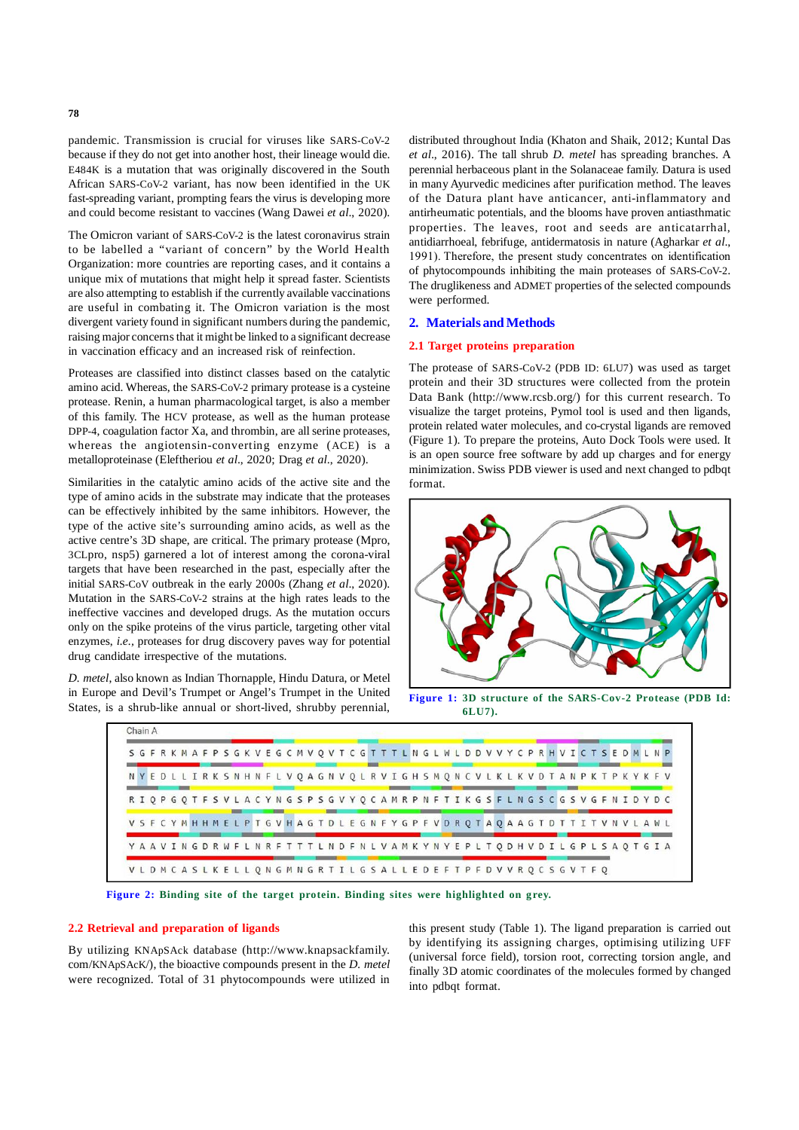pandemic. Transmission is crucial for viruses like SARS-CoV-2 because if they do not get into another host, their lineage would die. E484K is a mutation that was originally discovered in the South African SARS-CoV-2 variant, has now been identified in the UK fast-spreading variant, prompting fears the virus is developing more and could become resistant to vaccines (Wang Dawei *et al*., 2020).

The Omicron variant of SARS-CoV-2 is the latest coronavirus strain to be labelled a "variant of concern" by the World Health Organization: more countries are reporting cases, and it contains a unique mix of mutations that might help it spread faster. Scientists are also attempting to establish if the currently available vaccinations are useful in combating it. The Omicron variation is the most divergent variety found in significant numbers during the pandemic, raising major concerns that it might be linked to a significant decrease in vaccination efficacy and an increased risk of reinfection.

Proteases are classified into distinct classes based on the catalytic amino acid. Whereas, the SARS-CoV-2 primary protease is a cysteine protease. Renin, a human pharmacological target, is also a member of this family. The HCV protease, as well as the human protease DPP-4, coagulation factor Xa, and thrombin, are all serine proteases, whereas the angiotensin-converting enzyme (ACE) is a metalloproteinase (Eleftheriou *et al*., 2020; Drag *et al*., 2020).

Similarities in the catalytic amino acids of the active site and the type of amino acids in the substrate may indicate that the proteases can be effectively inhibited by the same inhibitors. However, the type of the active site's surrounding amino acids, as well as the active centre's 3D shape, are critical. The primary protease (Mpro, 3CLpro, nsp5) garnered a lot of interest among the corona-viral targets that have been researched in the past, especially after the initial SARS-CoV outbreak in the early 2000s (Zhang *et al*., 2020). Mutation in the SARS-CoV-2 strains at the high rates leads to the ineffective vaccines and developed drugs. As the mutation occurs only on the spike proteins of the virus particle, targeting other vital enzymes, *i.e.,* proteases for drug discovery paves way for potential drug candidate irrespective of the mutations.

*D. metel*, also known as Indian Thornapple, Hindu Datura, or Metel in Europe and Devil's Trumpet or Angel's Trumpet in the United States, is a shrub-like annual or short-lived, shrubby perennial,

distributed throughout India (Khaton and Shaik, 2012; Kuntal Das *et al*., 2016). The tall shrub *D. metel* has spreading branches. A perennial herbaceous plant in the Solanaceae family. Datura is used in many Ayurvedic medicines after purification method. The leaves of the Datura plant have anticancer, anti-inflammatory and antirheumatic potentials, and the blooms have proven antiasthmatic properties. The leaves, root and seeds are anticatarrhal, antidiarrhoeal, febrifuge, antidermatosis in nature (Agharkar *et al*., 1991). Therefore, the present study concentrates on identification of phytocompounds inhibiting the main proteases of SARS-CoV-2. The druglikeness and ADMET properties of the selected compounds were performed.

#### **2. Materials and Methods**

## **2.1 Target proteins preparation**

The protease of SARS-CoV-2 (PDB ID: 6LU7) was used as target protein and their 3D structures were collected from the protein Data Bank (http://www.rcsb.org/) for this current research. To visualize the target proteins, Pymol tool is used and then ligands, protein related water molecules, and co-crystal ligands are removed (Figure 1). To prepare the proteins, Auto Dock Tools were used. It is an open source free software by add up charges and for energy minimization. Swiss PDB viewer is used and next changed to pdbqt format.



**Figure 1: 3D structure of the SARS-Cov-2 Protease (PDB Id: 6LU7).**



**Figure 2: Binding site of the target protein. Binding sites were highlighted on grey.**

#### **2.2 Retrieval and preparation of ligands**

By utilizing KNApSAck database (http://www.knapsackfamily. com/KNApSAcK/), the bioactive compounds present in the *D. metel* were recognized. Total of 31 phytocompounds were utilized in this present study (Table 1). The ligand preparation is carried out by identifying its assigning charges, optimising utilizing UFF (universal force field), torsion root, correcting torsion angle, and finally 3D atomic coordinates of the molecules formed by changed into pdbqt format.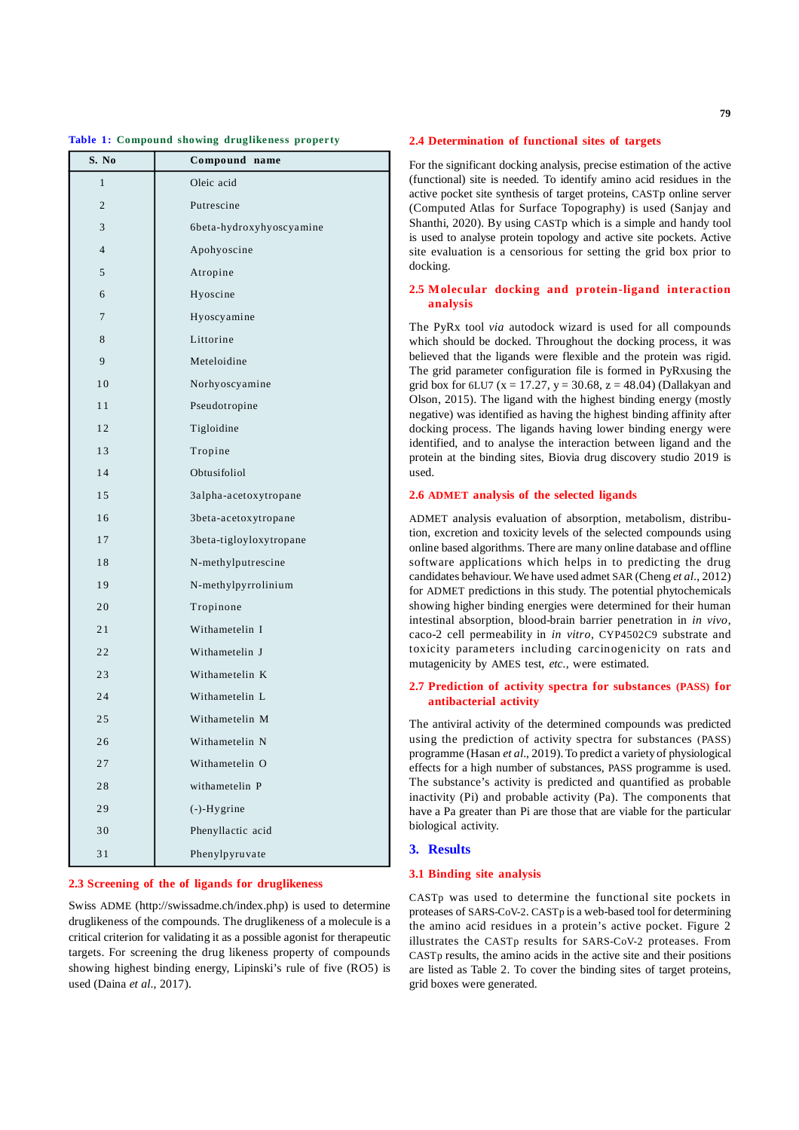#### **Table 1: Compound showing druglikeness property**

| S. No          | Compound name            |  |  |  |
|----------------|--------------------------|--|--|--|
| $\mathbf{1}$   | Oleic acid               |  |  |  |
| $\overline{2}$ | Putrescine               |  |  |  |
| 3              | 6beta-hydroxyhyoscyamine |  |  |  |
| $\overline{4}$ | Apohyoscine              |  |  |  |
| 5              | Atropine                 |  |  |  |
| 6              | Hyoscine                 |  |  |  |
| 7              | Hyoscyamine              |  |  |  |
| 8              | Littorine                |  |  |  |
| 9              | Meteloidine              |  |  |  |
| 10             | Norhyoscyamine           |  |  |  |
| 11             | Pseudotropine            |  |  |  |
| 12             | Tigloidine               |  |  |  |
| 13             | Tropine                  |  |  |  |
| 14             | Obtusifoliol             |  |  |  |
| 15             | 3alpha-acetoxytropane    |  |  |  |
| 16             | 3beta-acetoxytropane     |  |  |  |
| 17             | 3beta-tigloyloxytropane  |  |  |  |
| 18             | N-methylputrescine       |  |  |  |
| 19             | N-methylpyrrolinium      |  |  |  |
| 20             | Tropinone                |  |  |  |
| 21             | Withametelin I           |  |  |  |
| 22             | Withametelin J           |  |  |  |
| 23             | Withametelin K           |  |  |  |
| 24             | Withametelin L           |  |  |  |
| 25             | Withametelin M           |  |  |  |
| 26             | Withametelin N           |  |  |  |
| 27             | Withametelin O           |  |  |  |
| 28             | withametelin P           |  |  |  |
| 29             | $(-)$ -Hygrine           |  |  |  |
| 30             | Phenyllactic acid        |  |  |  |
| 31             | Phenylpyruvate           |  |  |  |

#### **2.3 Screening of the of ligands for druglikeness**

Swiss ADME (http://swissadme.ch/index.php) is used to determine druglikeness of the compounds. The druglikeness of a molecule is a critical criterion for validating it as a possible agonist for therapeutic targets. For screening the drug likeness property of compounds showing highest binding energy, Lipinski's rule of five (RO5) is used (Daina *et al*., 2017).

#### **2.4 Determination of functional sites of targets**

For the significant docking analysis, precise estimation of the active (functional) site is needed. To identify amino acid residues in the active pocket site synthesis of target proteins, CASTp online server (Computed Atlas for Surface Topography) is used (Sanjay and Shanthi, 2020). By using CASTp which is a simple and handy tool is used to analyse protein topology and active site pockets. Active site evaluation is a censorious for setting the grid box prior to docking.

# **2.5 Molecular docking and protein-ligand interaction analysis**

The PyRx tool *via* autodock wizard is used for all compounds which should be docked. Throughout the docking process, it was believed that the ligands were flexible and the protein was rigid. The grid parameter configuration file is formed in PyRxusing the grid box for 6LU7 ( $x = 17.27$ ,  $y = 30.68$ ,  $z = 48.04$ ) (Dallakyan and Olson, 2015). The ligand with the highest binding energy (mostly negative) was identified as having the highest binding affinity after docking process. The ligands having lower binding energy were identified, and to analyse the interaction between ligand and the protein at the binding sites, Biovia drug discovery studio 2019 is used.

# **2.6 ADMET analysis of the selected ligands**

ADMET analysis evaluation of absorption, metabolism, distribution, excretion and toxicity levels of the selected compounds using online based algorithms. There are many online database and offline software applications which helps in to predicting the drug candidates behaviour. We have used admet SAR (Cheng *et al.*, 2012) for ADMET predictions in this study. The potential phytochemicals showing higher binding energies were determined for their human intestinal absorption, blood-brain barrier penetration in *in vivo*, caco-2 cell permeability in *in vitro*, CYP4502C9 substrate and toxicity parameters including carcinogenicity on rats and mutagenicity by AMES test, *etc.,* were estimated.

# **2.7 Prediction of activity spectra for substances (PASS) for antibacterial activity**

The antiviral activity of the determined compounds was predicted using the prediction of activity spectra for substances (PASS) programme (Hasan *et al*., 2019). To predict a variety of physiological effects for a high number of substances, PASS programme is used. The substance's activity is predicted and quantified as probable inactivity (Pi) and probable activity (Pa). The components that have a Pa greater than Pi are those that are viable for the particular biological activity.

# **3. Results**

#### **3.1 Binding site analysis**

CASTp was used to determine the functional site pockets in proteases of SARS-CoV-2. CASTp is a web-based tool for determining the amino acid residues in a protein's active pocket. Figure 2 illustrates the CASTp results for SARS-CoV-2 proteases. From CASTp results, the amino acids in the active site and their positions are listed as Table 2. To cover the binding sites of target proteins, grid boxes were generated.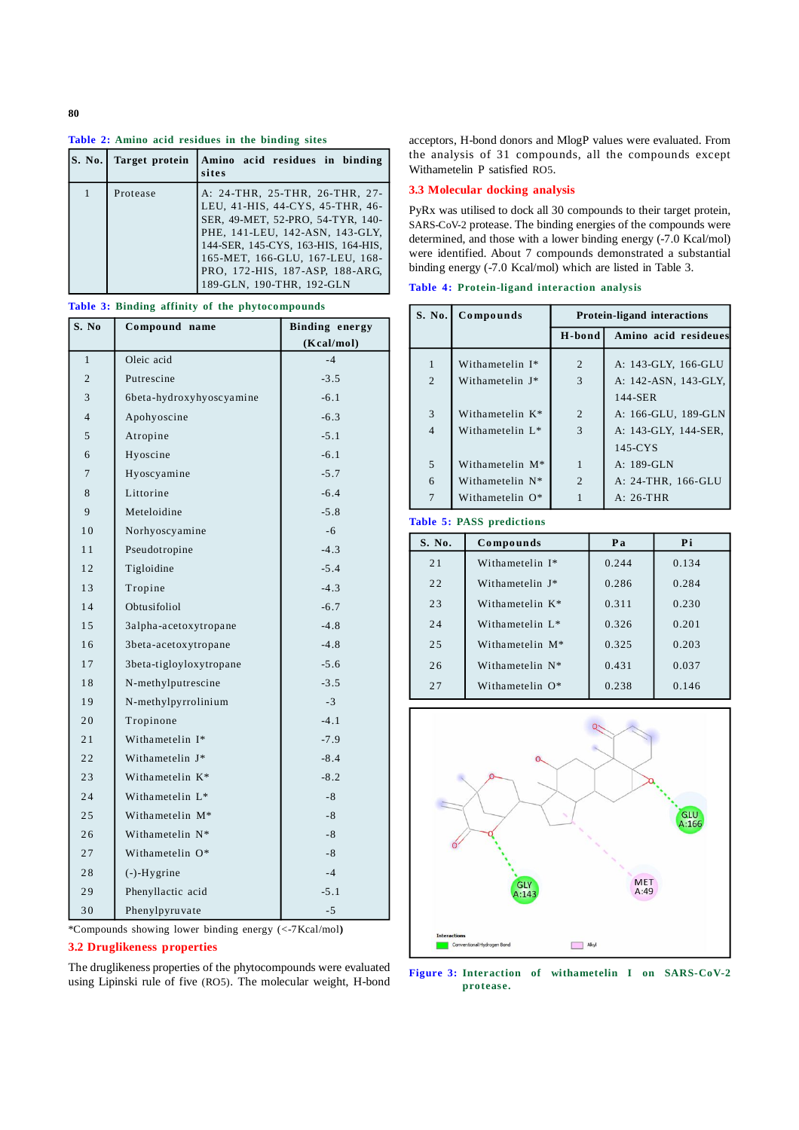## **Table 2: Amino acid residues in the binding sites**

| <b>S. No.</b> | Target protein | Amino acid residues in binding<br>sites                                                                                                                                                                                                                                              |
|---------------|----------------|--------------------------------------------------------------------------------------------------------------------------------------------------------------------------------------------------------------------------------------------------------------------------------------|
|               | Protease       | A: 24-THR, 25-THR, 26-THR, 27-<br>LEU, 41-HIS, 44-CYS, 45-THR, 46-<br>SER, 49-MET, 52-PRO, 54-TYR, 140-<br>PHE, 141-LEU, 142-ASN, 143-GLY,<br>144-SER, 145-CYS, 163-HIS, 164-HIS,<br>165-MET, 166-GLU, 167-LEU, 168-<br>PRO, 172-HIS, 187-ASP, 188-ARG,<br>189-GLN, 190-THR, 192-GLN |

**Table 3: Binding affinity of the phytocompounds**

| S. No          | Compound name            | <b>Binding energy</b> |  |
|----------------|--------------------------|-----------------------|--|
|                |                          | (Kcal/mol)            |  |
| $\mathbf{1}$   | Oleic acid               | $-4$                  |  |
| $\overline{2}$ | Putrescine               | $-3.5$                |  |
| 3              | 6beta-hydroxyhyoscyamine | $-6.1$                |  |
| $\overline{4}$ | Apohyoscine              | $-6.3$                |  |
| 5              | Atropine                 | $-5.1$                |  |
| 6              | Hyoscine                 | $-6.1$                |  |
| 7              | Hyoscyamine              | $-5.7$                |  |
| 8              | Littorine                | $-6.4$                |  |
| 9              | Meteloidine              | $-5.8$                |  |
| 1 <sub>0</sub> | Norhyoscyamine           | $-6$                  |  |
| 11             | Pseudotropine            | $-4.3$                |  |
| 12             | Tigloidine               | $-5.4$                |  |
| 13             | Tropine                  | $-4.3$                |  |
| 14             | Obtusifoliol             | $-6.7$                |  |
| 15             | 3alpha-acetoxytropane    | $-4.8$                |  |
| 16             | 3beta-acetoxytropane     | $-4.8$                |  |
| 17             | 3beta-tigloyloxytropane  | $-5.6$                |  |
| 18             | N-methylputrescine       | $-3.5$                |  |
| 19             | N-methylpyrrolinium      | $-3$                  |  |
| 20             | Tropinone                | $-4.1$                |  |
| 21             | Withametelin I*          | $-7.9$                |  |
| 22             | Withametelin J*          | $-8.4$                |  |
| 23             | Withametelin K*          | $-8.2$                |  |
| 24             | Withametelin L*          | $-8$                  |  |
| 25             | Withametelin M*          | $-8$                  |  |
| 26             | Withametelin N*          | $-8$                  |  |
| 27             | Withametelin O*          | $-8$                  |  |
| 28             | $(-)$ -Hygrine           | $-4$                  |  |
| 29             | Phenyllactic acid        | $-5.1$                |  |
| 30             | Phenylpyruvate           | $-5$                  |  |

\*Compounds showing lower binding energy (<-7Kcal/mol**)**

# **3.2 Druglikeness properties**

The druglikeness properties of the phytocompounds were evaluated using Lipinski rule of five (RO5). The molecular weight, H-bond

acceptors, H-bond donors and MlogP values were evaluated. From the analysis of 31 compounds, all the compounds except Withametelin P satisfied RO5.

## **3.3 Molecular docking analysis**

PyRx was utilised to dock all 30 compounds to their target protein, SARS-CoV-2 protease. The binding energies of the compounds were determined, and those with a lower binding energy (-7.0 Kcal/mol) were identified. About 7 compounds demonstrated a substantial binding energy (-7.0 Kcal/mol) which are listed in Table 3.

**Table 4: Protein-ligand interaction analysis**

| S. No.         | Compounds                   | <b>Protein-ligand interactions</b> |                      |  |  |
|----------------|-----------------------------|------------------------------------|----------------------|--|--|
|                |                             | H-bond                             | Amino acid resideues |  |  |
| $\mathbf{1}$   | Withametelin I*             | $\overline{2}$                     | A: 143-GLY, 166-GLU  |  |  |
| $\overline{2}$ | Withametelin J*             | 3                                  | A: 142-ASN, 143-GLY, |  |  |
|                |                             |                                    | 144-SER              |  |  |
| 3              | Withametelin K*             | 2                                  | A: 166-GLU, 189-GLN  |  |  |
| $\overline{4}$ | Withametelin L <sup>*</sup> | 3                                  | A: 143-GLY, 144-SER, |  |  |
|                |                             |                                    | $145$ -CYS           |  |  |
| 5              | Withametelin M <sup>*</sup> | 1                                  | A: 189-GLN           |  |  |
| 6              | Withametelin $N^*$          | $\overline{2}$                     | A: 24-THR, 166-GLU   |  |  |
| $\overline{7}$ | Withametelin O*             |                                    | $A: 26-THR$          |  |  |

#### **Table 5: PASS predictions**

| S. No. | Compounds                   | Pa    | Pi    |
|--------|-----------------------------|-------|-------|
| 21     | Withametelin I*             | 0.244 | 0.134 |
| 22     | Withametelin I*             | 0.286 | 0.284 |
| 23     | Withametelin K <sup>*</sup> | 0.311 | 0.230 |
| 24     | Withametelin L*             | 0.326 | 0.201 |
| 2.5    | Withametelin M*             | 0.325 | 0.203 |
| 26     | Withametelin N*             | 0.431 | 0.037 |
| 27     | Withametelin O*             | 0.238 | 0.146 |



**Figure 3: Interaction of withametelin I on SARS-CoV-2 protease.**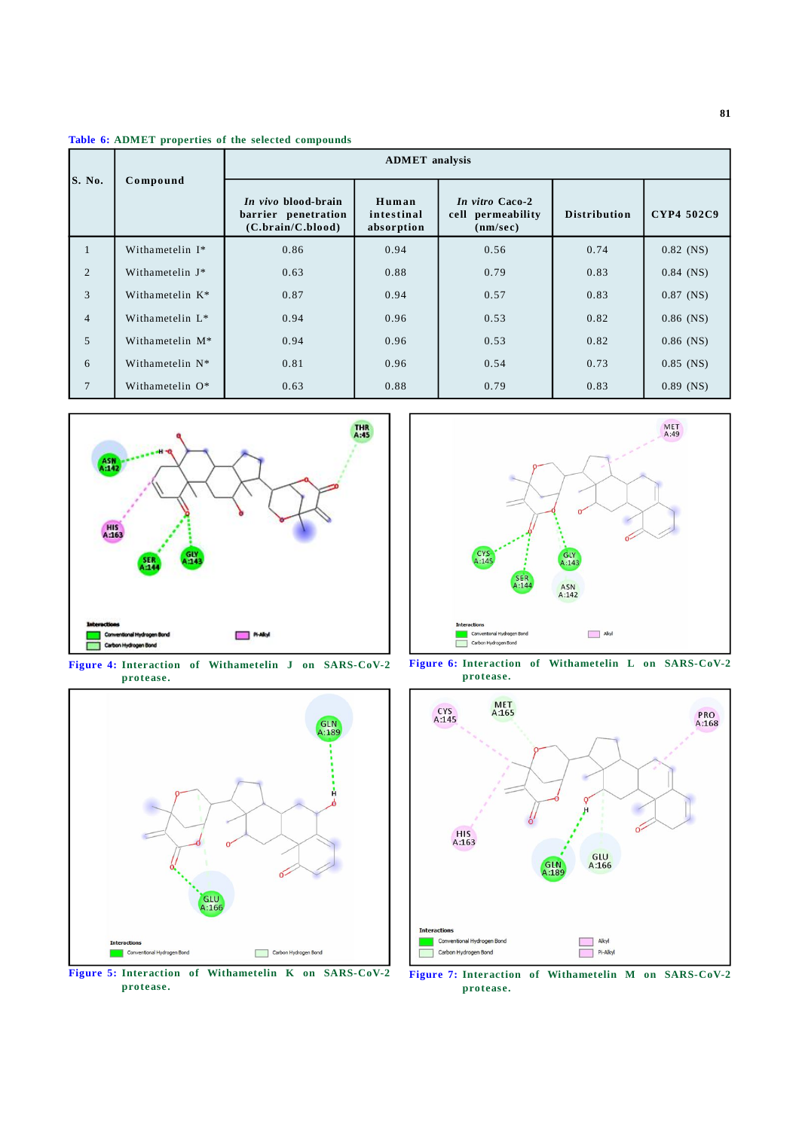**Table 6: ADMET properties of the selected compounds**

|                | Compound                    | <b>ADMET</b> analysis                                           |                                   |                                                  |                     |             |
|----------------|-----------------------------|-----------------------------------------------------------------|-----------------------------------|--------------------------------------------------|---------------------|-------------|
| S. No.         |                             | In vivo blood-brain<br>barrier penetration<br>(C.brain/C.blood) | Human<br>intestinal<br>absorption | In vitro Caco-2<br>cell permeability<br>(nm/sec) | <b>Distribution</b> | CYP4 502C9  |
| 1              | Withametelin I*             | 0.86                                                            | 0.94                              | 0.56                                             | 0.74                | $0.82$ (NS) |
| 2              | Withametelin J*             | 0.63                                                            | 0.88                              | 0.79                                             | 0.83                | $0.84$ (NS) |
| 3              | Withametelin K*             | 0.87                                                            | 0.94                              | 0.57                                             | 0.83                | $0.87$ (NS) |
| $\overline{4}$ | Withametelin L <sup>*</sup> | 0.94                                                            | 0.96                              | 0.53                                             | 0.82                | $0.86$ (NS) |
| 5              | Withametelin M*             | 0.94                                                            | 0.96                              | 0.53                                             | 0.82                | $0.86$ (NS) |
| 6              | Withametelin $N^*$          | 0.81                                                            | 0.96                              | 0.54                                             | 0.73                | $0.85$ (NS) |
| $\tau$         | Withametelin O*             | 0.63                                                            | 0.88                              | 0.79                                             | 0.83                | $0.89$ (NS) |



**Figure 4: Interaction of Withametelin J on SARS-CoV-2 protease.**



**Figure 5: Interaction of Withametelin K on SARS-CoV-2 protease.**



**Figure 6: Interaction of Withametelin L on SARS-CoV-2 protease.**



**Figure 7: Interaction of Withametelin M on SARS-CoV-2 protease.**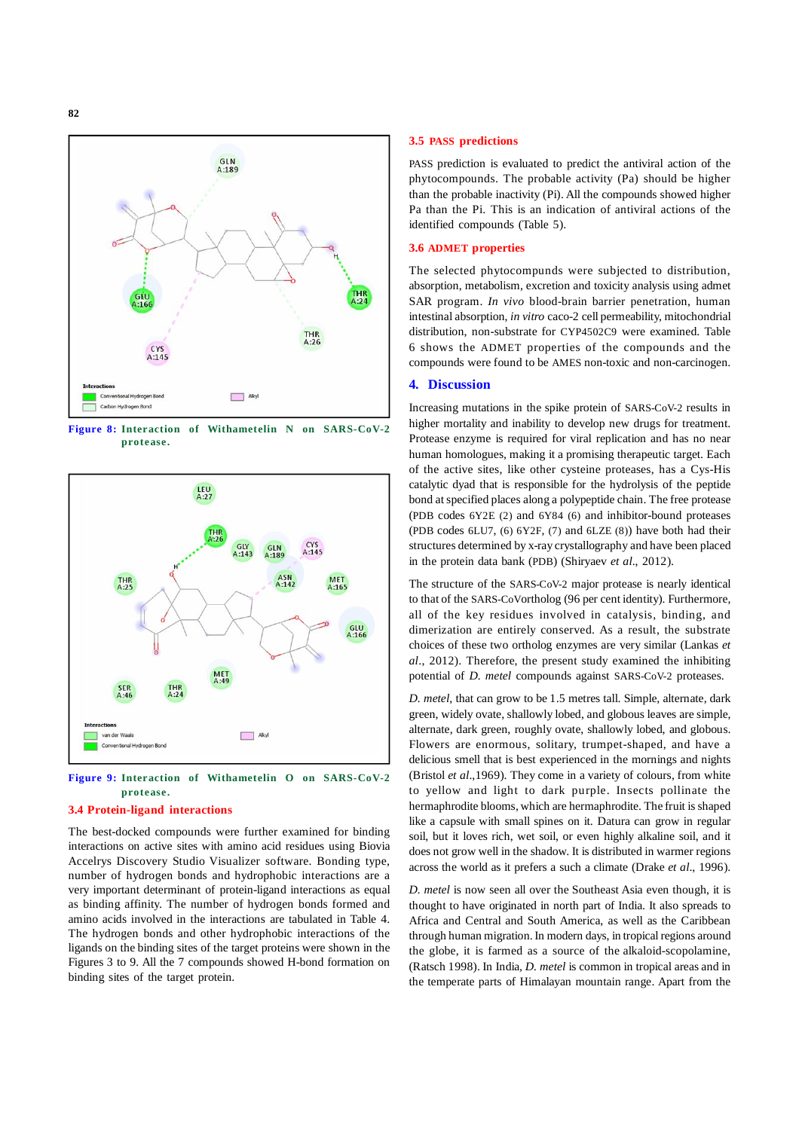

**Figure 8: Interaction of Withametelin N on SARS-CoV-2 protease.**



**Figure 9: Interaction of Withametelin O on SARS-CoV-2 protease.**

#### **3.4 Protein-ligand interactions**

The best-docked compounds were further examined for binding interactions on active sites with amino acid residues using Biovia Accelrys Discovery Studio Visualizer software. Bonding type, number of hydrogen bonds and hydrophobic interactions are a very important determinant of protein-ligand interactions as equal as binding affinity. The number of hydrogen bonds formed and amino acids involved in the interactions are tabulated in Table 4. The hydrogen bonds and other hydrophobic interactions of the ligands on the binding sites of the target proteins were shown in the Figures 3 to 9. All the 7 compounds showed H-bond formation on binding sites of the target protein.

#### **3.5 PASS predictions**

PASS prediction is evaluated to predict the antiviral action of the phytocompounds. The probable activity (Pa) should be higher than the probable inactivity (Pi). All the compounds showed higher Pa than the Pi. This is an indication of antiviral actions of the identified compounds (Table 5).

#### **3.6 ADMET properties**

The selected phytocompunds were subjected to distribution, absorption, metabolism, excretion and toxicity analysis using admet SAR program. *In vivo* blood-brain barrier penetration, human intestinal absorption, *in vitro* caco-2 cell permeability, mitochondrial distribution, non-substrate for CYP4502C9 were examined. Table 6 shows the ADMET properties of the compounds and the compounds were found to be AMES non-toxic and non-carcinogen.

## **4. Discussion**

Increasing mutations in the spike protein of SARS-CoV-2 results in higher mortality and inability to develop new drugs for treatment. Protease enzyme is required for viral replication and has no near human homologues, making it a promising therapeutic target. Each of the active sites, like other cysteine proteases, has a Cys-His catalytic dyad that is responsible for the hydrolysis of the peptide bond at specified places along a polypeptide chain. The free protease (PDB codes 6Y2E (2) and 6Y84 (6) and inhibitor-bound proteases (PDB codes 6LU7, (6) 6Y2F, (7) and 6LZE (8)) have both had their structures determined by x-ray crystallography and have been placed in the protein data bank (PDB) (Shiryaev *et al*., 2012).

The structure of the SARS-CoV-2 major protease is nearly identical to that of the SARS-CoVortholog (96 per cent identity). Furthermore, all of the key residues involved in catalysis, binding, and dimerization are entirely conserved. As a result, the substrate choices of these two ortholog enzymes are very similar (Lankas *et al*., 2012). Therefore, the present study examined the inhibiting potential of *D. metel* compounds against SARS-CoV-2 proteases.

*D. metel*, that can grow to be 1.5 metres tall. Simple, alternate, dark green, widely ovate, shallowly lobed, and globous leaves are simple, alternate, dark green, roughly ovate, shallowly lobed, and globous. Flowers are enormous, solitary, trumpet-shaped, and have a delicious smell that is best experienced in the mornings and nights (Bristol *et al*.,1969). They come in a variety of colours, from white to yellow and light to dark purple. Insects pollinate the hermaphrodite blooms, which are hermaphrodite. The fruit is shaped like a capsule with small spines on it. Datura can grow in regular soil, but it loves rich, wet soil, or even highly alkaline soil, and it does not grow well in the shadow. It is distributed in warmer regions across the world as it prefers a such a climate (Drake *et al*., 1996).

*D. metel* is now seen all over the Southeast Asia even though, it is thought to have originated in north part of India. It also spreads to Africa and Central and South America, as well as the Caribbean through human migration. In modern days, in tropical regions around the globe, it is farmed as a source of the alkaloid-scopolamine, (Ratsch 1998). In India, *D. metel* is common in tropical areas and in the temperate parts of Himalayan mountain range. Apart from the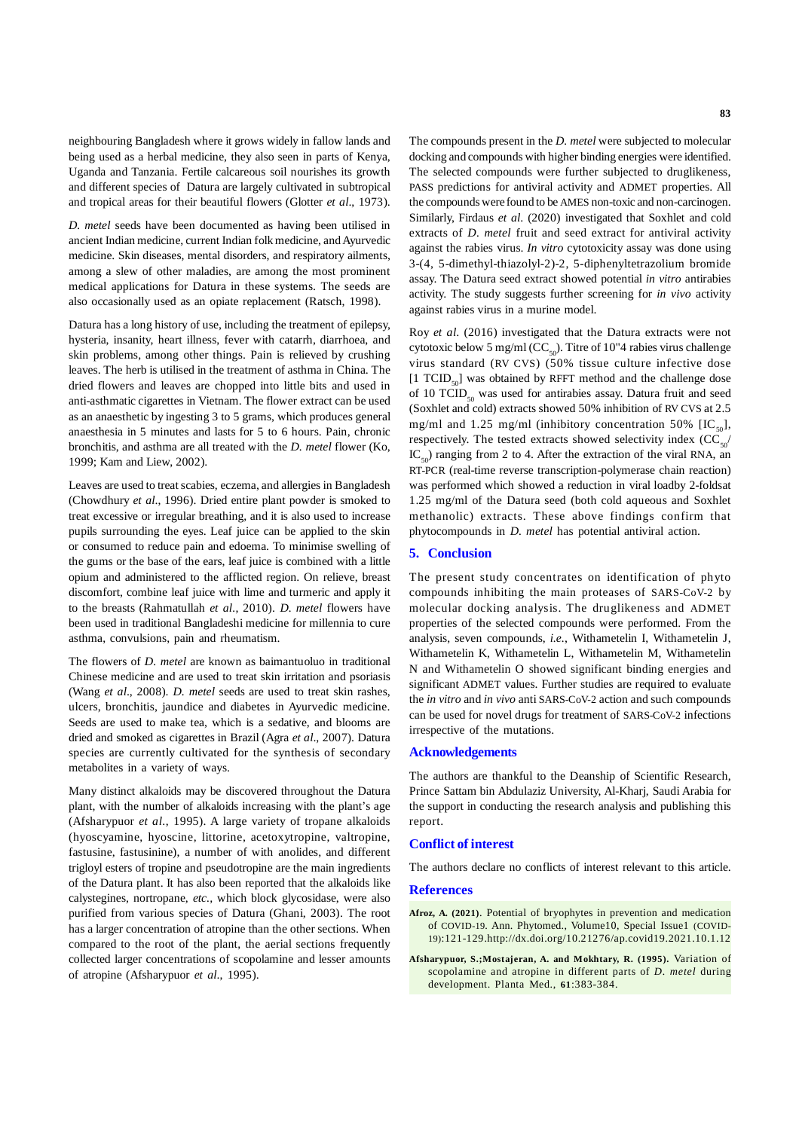neighbouring Bangladesh where it grows widely in fallow lands and being used as a herbal medicine, they also seen in parts of Kenya, Uganda and Tanzania. Fertile calcareous soil nourishes its growth and different species of Datura are largely cultivated in subtropical and tropical areas for their beautiful flowers (Glotter *et al*., 1973).

*D. metel* seeds have been documented as having been utilised in ancient Indian medicine, current Indian folk medicine, and Ayurvedic medicine. Skin diseases, mental disorders, and respiratory ailments, among a slew of other maladies, are among the most prominent medical applications for Datura in these systems. The seeds are also occasionally used as an opiate replacement (Ratsch, 1998).

Datura has a long history of use, including the treatment of epilepsy, hysteria, insanity, heart illness, fever with catarrh, diarrhoea, and skin problems, among other things. Pain is relieved by crushing leaves. The herb is utilised in the treatment of asthma in China. The dried flowers and leaves are chopped into little bits and used in anti-asthmatic cigarettes in Vietnam. The flower extract can be used as an anaesthetic by ingesting 3 to 5 grams, which produces general anaesthesia in 5 minutes and lasts for 5 to 6 hours. Pain, chronic bronchitis, and asthma are all treated with the *D. metel* flower (Ko, 1999; Kam and Liew, 2002).

Leaves are used to treat scabies, eczema, and allergies in Bangladesh (Chowdhury *et al*., 1996). Dried entire plant powder is smoked to treat excessive or irregular breathing, and it is also used to increase pupils surrounding the eyes. Leaf juice can be applied to the skin or consumed to reduce pain and edoema. To minimise swelling of the gums or the base of the ears, leaf juice is combined with a little opium and administered to the afflicted region. On relieve, breast discomfort, combine leaf juice with lime and turmeric and apply it to the breasts (Rahmatullah *et al.*, 2010). *D. metel* flowers have been used in traditional Bangladeshi medicine for millennia to cure asthma, convulsions, pain and rheumatism.

The flowers of *D. metel* are known as baimantuoluo in traditional Chinese medicine and are used to treat skin irritation and psoriasis (Wang *et al*., 2008). *D. metel* seeds are used to treat skin rashes, ulcers, bronchitis, jaundice and diabetes in Ayurvedic medicine. Seeds are used to make tea, which is a sedative, and blooms are dried and smoked as cigarettes in Brazil (Agra *et al*., 2007). Datura species are currently cultivated for the synthesis of secondary metabolites in a variety of ways.

Many distinct alkaloids may be discovered throughout the Datura plant, with the number of alkaloids increasing with the plant's age (Afsharypuor *et al*., 1995). A large variety of tropane alkaloids (hyoscyamine, hyoscine, littorine, acetoxytropine, valtropine, fastusine, fastusinine), a number of with anolides, and different trigloyl esters of tropine and pseudotropine are the main ingredients of the Datura plant. It has also been reported that the alkaloids like calystegines, nortropane, *etc.,* which block glycosidase, were also purified from various species of Datura (Ghani, 2003). The root has a larger concentration of atropine than the other sections. When compared to the root of the plant, the aerial sections frequently collected larger concentrations of scopolamine and lesser amounts of atropine (Afsharypuor *et al*., 1995).

The compounds present in the *D. metel* were subjected to molecular docking and compounds with higher binding energies were identified. The selected compounds were further subjected to druglikeness, PASS predictions for antiviral activity and ADMET properties. All the compounds were found to be AMES non-toxic and non-carcinogen. Similarly, Firdaus *et al*. (2020) investigated that Soxhlet and cold extracts of *D. metel* fruit and seed extract for antiviral activity against the rabies virus. *In vitro* cytotoxicity assay was done using 3-(4, 5-dimethyl-thiazolyl-2)-2, 5-diphenyltetrazolium bromide assay. The Datura seed extract showed potential *in vitro* antirabies activity. The study suggests further screening for *in vivo* activity against rabies virus in a murine model.

Roy *et al*. (2016) investigated that the Datura extracts were not cytotoxic below 5 mg/ml ( $CC_{50}$ ). Titre of 10"4 rabies virus challenge virus standard (RV CVS) (50% tissue culture infective dose  $[1 TCID<sub>so</sub>]$  was obtained by RFFT method and the challenge dose of 10  $TCID<sub>50</sub>$  was used for antirabies assay. Datura fruit and seed (Soxhlet and cold) extracts showed 50% inhibition of RV CVS at 2.5 mg/ml and 1.25 mg/ml (inhibitory concentration 50%  $[IC_{50}]$ , respectively. The tested extracts showed selectivity index  $(CC<sub>so</sub>/$  $IC_{\epsilon_0}$ ) ranging from 2 to 4. After the extraction of the viral RNA, an RT-PCR (real-time reverse transcription-polymerase chain reaction) was performed which showed a reduction in viral loadby 2-foldsat 1.25 mg/ml of the Datura seed (both cold aqueous and Soxhlet methanolic) extracts. These above findings confirm that phytocompounds in *D. metel* has potential antiviral action.

# **5. Conclusion**

The present study concentrates on identification of phyto compounds inhibiting the main proteases of SARS-CoV-2 by molecular docking analysis. The druglikeness and ADMET properties of the selected compounds were performed. From the analysis, seven compounds, *i.e.*, Withametelin I, Withametelin J, Withametelin K, Withametelin L, Withametelin M, Withametelin N and Withametelin O showed significant binding energies and significant ADMET values. Further studies are required to evaluate the *in vitro* and *in vivo* anti SARS-CoV-2 action and such compounds can be used for novel drugs for treatment of SARS-CoV-2 infections irrespective of the mutations.

#### **Acknowledgements**

The authors are thankful to the Deanship of Scientific Research, Prince Sattam bin Abdulaziz University, Al-Kharj, Saudi Arabia for the support in conducting the research analysis and publishing this report.

## **Conflict of interest**

The authors declare no conflicts of interest relevant to this article.

#### **References**

- **Afroz, A. (2021)**. Potential of bryophytes in prevention and medication of COVID-19. Ann. Phytomed., Volume10, Special Issue1 (COVID-19):121-129.http://dx.doi.org/10.21276/ap.covid19.2021.10.1.12
- **Afsharypuor, S.;Mostajeran, A. and Mokhtary, R. (1995).** Variation of scopolamine and atropine in different parts of *D. metel* during development. Planta Med., **61**:383-384.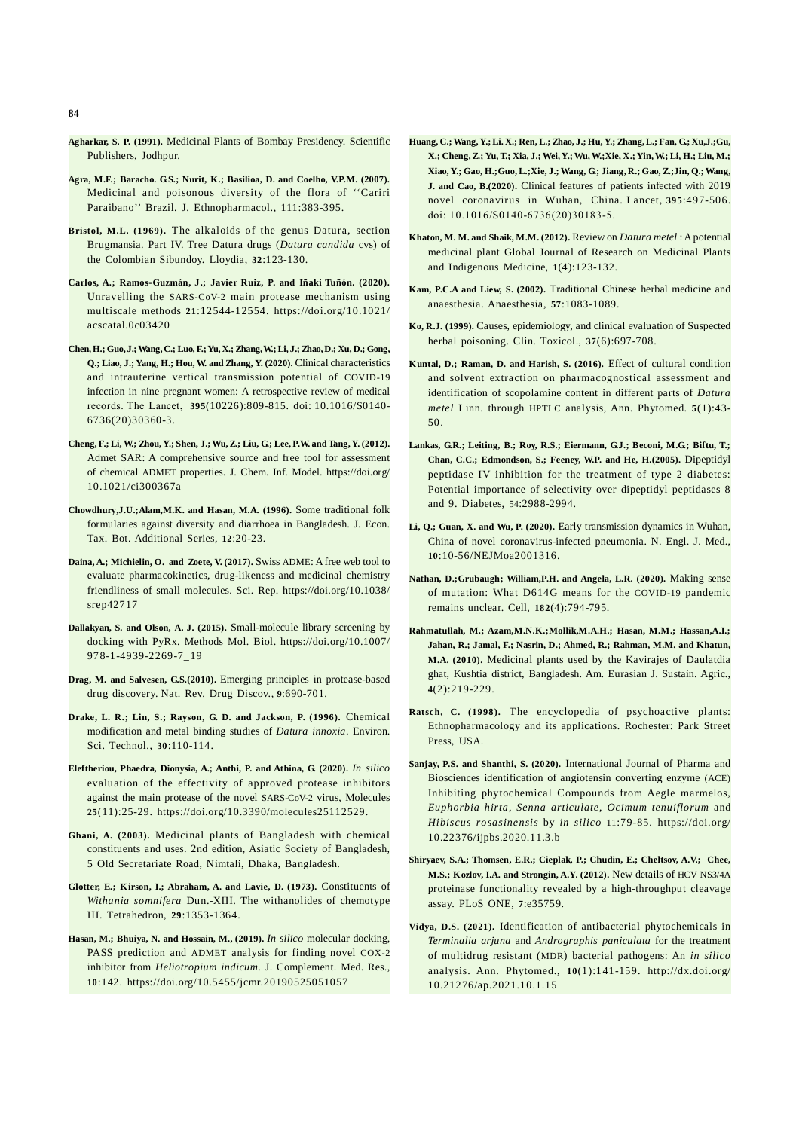- **Agharkar, S. P. (1991).** Medicinal Plants of Bombay Presidency. Scientific Publishers, Jodhpur.
- Agra, M.F.; Baracho. G.S.; Nurit, K.; Basilioa, D. and Coelho, V.P.M. (2007). Medicinal and poisonous diversity of the flora of ''Cariri Paraibano'' Brazil. J. Ethnopharmacol., 111:383-395.
- **Bristol, M.L. (1969).** The alkaloids of the genus Datura, section Brugmansia. Part IV. Tree Datura drugs (*Datura candida* cvs) of the Colombian Sibundoy. Lloydia, **32**:123-130.
- **Carlos, A.; Ramos-Guzmán, J.; Javier Ruiz, P. and Iñaki Tuñón. (2020).** Unravelling the SARS-CoV-2 main protease mechanism using multiscale methods **21**:12544-12554. https://doi.org/10.1021/ acscatal.0c03420
- **Chen, H.; Guo, J.; Wang, C.; Luo, F.; Yu, X.; Zhang, W.; Li, J.; Zhao, D.; Xu, D.; Gong, Q.; Liao, J.; Yang, H.; Hou, W. and Zhang, Y. (2020).** Clinical characteristics and intrauterine vertical transmission potential of COVID-19 infection in nine pregnant women: A retrospective review of medical records. The Lancet, **395**(10226):809-815. doi: 10.1016/S0140- 6736(20)30360-3.
- **Cheng, F.; Li, W.; Zhou, Y.; Shen, J.; Wu, Z.; Liu, G.; Lee, P.W. and Tang, Y. (2012).** Admet SAR: A comprehensive source and free tool for assessment of chemical ADMET properties. J. Chem. Inf. Model. https://doi.org/ 10.1021/ci300367a
- **Chowdhury,J.U.;Alam,M.K. and Hasan, M.A. (1996).** Some traditional folk formularies against diversity and diarrhoea in Bangladesh. J. Econ. Tax. Bot. Additional Series, **12**:20-23.
- **Daina, A.; Michielin, O. and Zoete, V. (2017).** Swiss ADME: A free web tool to evaluate pharmacokinetics, drug-likeness and medicinal chemistry friendliness of small molecules. Sci. Rep. https://doi.org/10.1038/ srep42717
- **Dallakyan, S. and Olson, A. J. (2015).** Small-molecule library screening by docking with PyRx. Methods Mol. Biol. https://doi.org/10.1007/ 978-1-4939-2269-7\_19
- **Drag, M. and Salvesen, G.S.(2010).** Emerging principles in protease-based drug discovery. Nat. Rev. Drug Discov., **9**:690-701.
- **Drake, L. R.; Lin, S.; Rayson, G. D. and Jackson, P. (1996).** Chemical modification and metal binding studies of *Datura innoxia*. Environ. Sci. Technol., **30**:110-114.
- **Eleftheriou, Phaedra, Dionysia, A.; Anthi, P. and Athina, G. (2020).** *In silico* evaluation of the effectivity of approved protease inhibitors against the main protease of the novel SARS-CoV-2 virus, Molecules **25**(11):25-29. https://doi.org/10.3390/molecules25112529.
- **Ghani, A. (2003).** Medicinal plants of Bangladesh with chemical constituents and uses. 2nd edition, Asiatic Society of Bangladesh, 5 Old Secretariate Road, Nimtali, Dhaka, Bangladesh.
- **Glotter, E.; Kirson, I.; Abraham, A. and Lavie, D. (1973).** Constituents of *Withania somnifera* Dun.-XIII. The withanolides of chemotype III. Tetrahedron, **29**:1353-1364.
- **Hasan, M.; Bhuiya, N. and Hossain, M., (2019).** *In silico* molecular docking, PASS prediction and ADMET analysis for finding novel COX-2 inhibitor from *Heliotropium indicum*. J. Complement. Med. Res., **10**:142. https://doi.org/10.5455/jcmr.20190525051057
- **Huang, C.; Wang, Y.; Li. X.; Ren, L.; Zhao, J.; Hu, Y.; Zhang, L.; Fan, G.; Xu,J.;Gu, X.; Cheng, Z.; Yu, T.; Xia, J.; Wei, Y.; Wu, W.;Xie, X.; Yin, W.; Li, H.; Liu, M.; Xiao, Y.; Gao, H.;Guo, L.;Xie, J.; Wang, G.; Jiang, R.; Gao, Z.;Jin, Q.; Wang, J. and Cao, B.(2020).** Clinical features of patients infected with 2019 novel coronavirus in Wuhan, China. Lancet, **395**:497-506. doi: 10.1016/S0140-6736(20)30183-5.
- **Khaton, M. M. and Shaik, M.M. (2012).** Review on *Datura metel* : A potential medicinal plant Global Journal of Research on Medicinal Plants and Indigenous Medicine, **1**(4):123-132.
- **Kam, P.C.A and Liew, S. (2002).** Traditional Chinese herbal medicine and anaesthesia. Anaesthesia, **57**:1083-1089.
- **Ko, R.J. (1999).** Causes, epidemiology, and clinical evaluation of Suspected herbal poisoning. Clin. Toxicol., **37**(6):697-708.
- **Kuntal, D.; Raman, D. and Harish, S. (2016).** Effect of cultural condition and solvent extraction on pharmacognostical assessment and identification of scopolamine content in different parts of *Datura metel* Linn. through HPTLC analysis, Ann. Phytomed. **5**(1):43- 50.
- Lankas, G.R.; Leiting, B.; Roy, R.S.; Eiermann, G.J.; Beconi, M.G.; Biftu, T.; **Chan, C.C.; Edmondson, S.; Feeney, W.P. and He, H.(2005).** Dipeptidyl peptidase IV inhibition for the treatment of type 2 diabetes: Potential importance of selectivity over dipeptidyl peptidases 8 and 9. Diabetes, 54:2988-2994.
- **Li, Q.; Guan, X. and Wu, P. (2020).** Early transmission dynamics in Wuhan, China of novel coronavirus-infected pneumonia. N. Engl. J. Med., **10**:10-56/NEJMoa2001316.
- **Nathan, D.;Grubaugh; William,P.H. and Angela, L.R. (2020).** Making sense of mutation: What D614G means for the COVID-19 pandemic remains unclear. Cell, **182**(4):794-795.
- **Rahmatullah, M.; Azam,M.N.K.;Mollik,M.A.H.; Hasan, M.M.; Hassan,A.I.; Jahan, R.; Jamal, F.; Nasrin, D.; Ahmed, R.; Rahman, M.M. and Khatun, M.A. (2010).** Medicinal plants used by the Kavirajes of Daulatdia ghat, Kushtia district, Bangladesh. Am. Eurasian J. Sustain. Agric., **4**(2):219-229.
- Ratsch, C. (1998). The encyclopedia of psychoactive plants: Ethnopharmacology and its applications. Rochester: Park Street Press, USA.
- **Sanjay, P.S. and Shanthi, S. (2020).** International Journal of Pharma and Biosciences identification of angiotensin converting enzyme (ACE) Inhibiting phytochemical Compounds from Aegle marmelos, *Euphorbia hirta*, *Senna articulate*, *Ocimum tenuiflorum* and *Hibiscus rosasinensis* by *in silico* 11:79-85. https://doi.org/ 10.22376/ijpbs.2020.11.3.b
- **Shiryaev, S.A.; Thomsen, E.R.; Cieplak, P.; Chudin, E.; Cheltsov, A.V.; Chee, M.S.; Kozlov, I.A. and Strongin, A.Y. (2012).** New details of HCV NS3/4A proteinase functionality revealed by a high-throughput cleavage assay. PLoS ONE, **7**:e35759.
- **Vidya, D.S. (2021).** Identification of antibacterial phytochemicals in *Terminalia arjuna* and *Andrographis paniculata* for the treatment of multidrug resistant (MDR) bacterial pathogens: An *in silico* analysis. Ann. Phytomed., **10**(1):141-159. http://dx.doi.org/ 10.21276/ap.2021.10.1.15